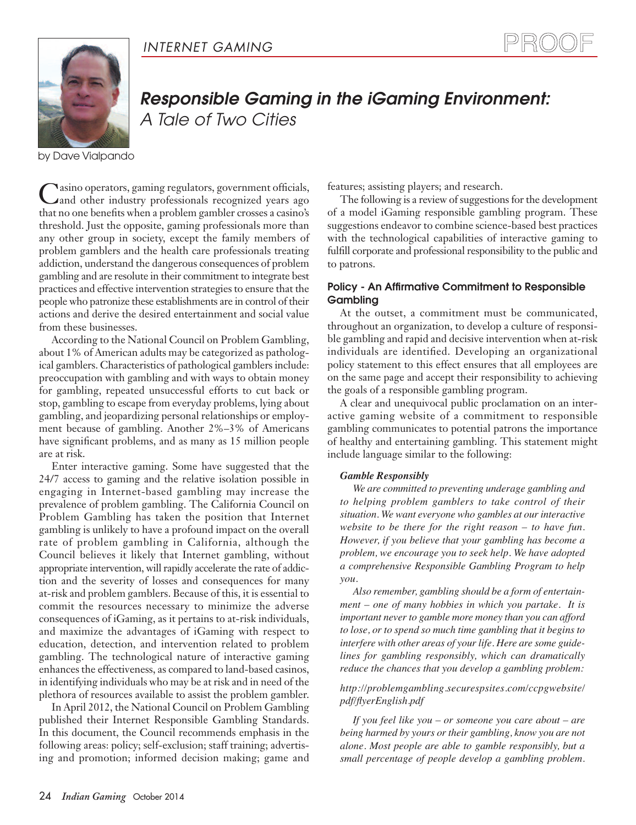



# *Responsible Gaming in the iGaming Environment: A Tale of Two Cities*

by Dave Vialpando

Casino operators, gaming regulators, government officials, and other industry professionals recognized years ago that no one benefits when a problem gambler crosses a casino's threshold. Just the opposite, gaming professionals more than any other group in society, except the family members of problem gamblers and the health care professionals treating addiction, understand the dangerous consequences of problem gambling and are resolute in their commitment to integrate best practices and effective intervention strategies to ensure that the people who patronize these establishments are in control of their actions and derive the desired entertainment and social value from these businesses.

According to the National Council on Problem Gambling, about 1% of American adults may be categorized as pathological gamblers. Characteristics of pathological gamblers include: preoccupation with gambling and with ways to obtain money for gambling, repeated unsuccessful efforts to cut back or stop, gambling to escape from everyday problems, lying about gambling, and jeopardizing personal relationships or employment because of gambling. Another 2%–3% of Americans have significant problems, and as many as 15 million people are at risk.

Enter interactive gaming. Some have suggested that the 24/7 access to gaming and the relative isolation possible in engaging in Internet-based gambling may increase the prevalence of problem gambling. The California Council on Problem Gambling has taken the position that Internet gambling is unlikely to have a profound impact on the overall rate of problem gambling in California, although the Council believes it likely that Internet gambling, without appropriate intervention, will rapidly accelerate the rate of addiction and the severity of losses and consequences for many at-risk and problem gamblers. Because of this, it is essential to commit the resources necessary to minimize the adverse consequences of iGaming, as it pertains to at-risk individuals, and maximize the advantages of iGaming with respect to education, detection, and intervention related to problem gambling. The technological nature of interactive gaming enhances the effectiveness, as compared to land-based casinos, in identifying individuals who may be at risk and in need of the plethora of resources available to assist the problem gambler.

In April 2012, the National Council on Problem Gambling published their Internet Responsible Gambling Standards. In this document, the Council recommends emphasis in the following areas: policy; self-exclusion; staff training; advertising and promotion; informed decision making; game and features; assisting players; and research.

The following is a review of suggestions for the development of a model iGaming responsible gambling program. These suggestions endeavor to combine science-based best practices with the technological capabilities of interactive gaming to fulfill corporate and professional responsibility to the public and to patrons.

# **Policy - An Affirmative Commitment to Responsible Gambling**

At the outset, a commitment must be communicated, throughout an organization, to develop a culture of responsible gambling and rapid and decisive intervention when at-risk individuals are identified. Developing an organizational policy statement to this effect ensures that all employees are on the same page and accept their responsibility to achieving the goals of a responsible gambling program.

A clear and unequivocal public proclamation on an interactive gaming website of a commitment to responsible gambling communicates to potential patrons the importance of healthy and entertaining gambling. This statement might include language similar to the following:

#### *Gamble Responsibly*

*We are committed to preventing underage gambling and to helping problem gamblers to take control of their situation. We want everyone who gambles at ourinteractive website to be there for the right reason – to have fun. However, if you believe that your gambling has become a problem, we encourage you to seek help. We have adopted a comprehensive Responsible Gambling Program to help you.*

*Also remember, gambling should be a form of entertainment – one of many hobbies in which you partake. It is important never to gamble more money than you can afford to lose, or to spend so much time gambling that it begins to interfere with other areas of your life. Here are some guidelines for gambling responsibly, which can dramatically reduce the chances that you develop a gambling problem:*

## *http://problemgambling.securespsites.com/ccpgwebsite/ pdf/flyerEnglish.pdf*

*If you feel like you – or someone you care about – are being harmed by yours or their gambling, know you are not alone. Most people are able to gamble responsibly, but a small percentage of people develop a gambling problem.*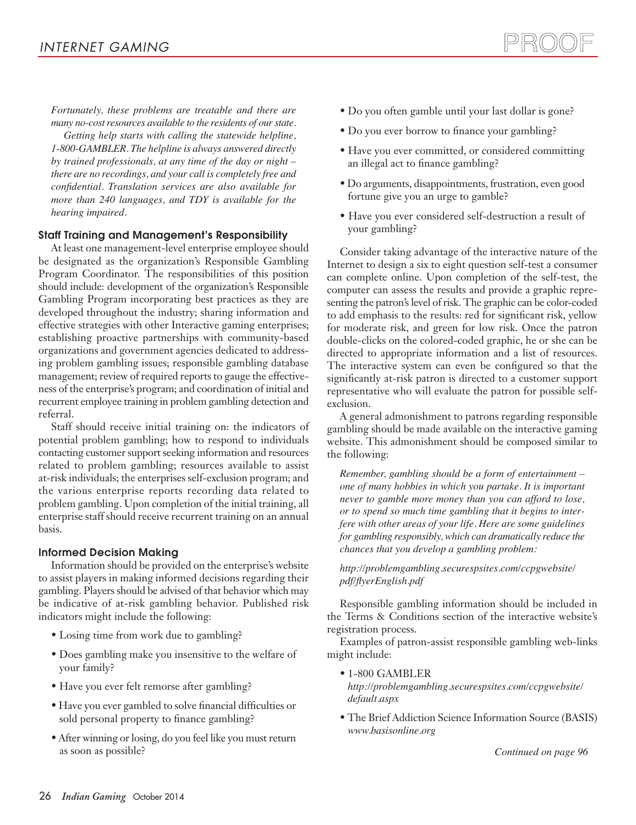*Fortunately, these problems are treatable and there are many no-costresources available to the residents of ourstate.*

*Getting help starts with calling the statewide helpline, 1-800-GAMBLER. The helpline is always answered directly by trained professionals, at any time of the day or night – there are no recordings, and your call is completely free and confidential. Translation services are also available for more than 240 languages, and TDY is available for the hearing impaired.*

# **Staff Training and Management's Responsibility**

At least one management-level enterprise employee should be designated as the organization's Responsible Gambling Program Coordinator. The responsibilities of this position should include: development of the organization's Responsible Gambling Program incorporating best practices as they are developed throughout the industry; sharing information and effective strategies with other Interactive gaming enterprises; establishing proactive partnerships with community-based organizations and government agencies dedicated to addressing problem gambling issues; responsible gambling database management; review of required reports to gauge the effectiveness of the enterprise's program; and coordination of initial and recurrent employee training in problem gambling detection and referral.

Staff should receive initial training on: the indicators of potential problem gambling; how to respond to individuals contacting customer support seeking information and resources related to problem gambling; resources available to assist at-risk individuals; the enterprises self-exclusion program; and the various enterprise reports recording data related to problem gambling. Upon completion of the initial training, all enterprise staff should receive recurrent training on an annual basis.

# **Informed Decision Making**

Information should be provided on the enterprise's website to assist players in making informed decisions regarding their gambling. Players should be advised of that behavior which may be indicative of at-risk gambling behavior. Published risk indicators might include the following:

- Losing time from work due to gambling?
- Does gambling make you insensitive to the welfare of your family?
- Have you ever felt remorse after gambling?
- Have you ever gambled to solve financial difficulties or sold personal property to finance gambling?
- After winning or losing, do you feel like you must return as soon as possible?
- Do you often gamble until your last dollar is gone?
- Do you ever borrow to finance your gambling?
- Have you ever committed, or considered committing an illegal act to finance gambling?
- Do arguments, disappointments, frustration, even good fortune give you an urge to gamble?
- Have you ever considered self-destruction a result of your gambling?

Consider taking advantage of the interactive nature of the Internet to design a six to eight question self-test a consumer can complete online. Upon completion of the self-test, the computer can assess the results and provide a graphic representing the patron's level of risk. The graphic can be color-coded to add emphasis to the results: red for significant risk, yellow for moderate risk, and green for low risk. Once the patron double-clicks on the colored-coded graphic, he or she can be directed to appropriate information and a list of resources. The interactive system can even be configured so that the significantly at-risk patron is directed to a customer support representative who will evaluate the patron for possible selfexclusion.

A general admonishment to patrons regarding responsible gambling should be made available on the interactive gaming website. This admonishment should be composed similar to the following:

*Remember, gambling should be a form of entertainment – one of many hobbies in which you partake. It is important never to gamble more money than you can afford to lose, or to spend so much time gambling that it begins to interfere with other areas of your life. Here are some guidelines for gambling responsibly, which can dramatically reduce the chances that you develop a gambling problem:*

*http://problemgambling.securespsites.com/ccpgwebsite/ pdf/flyerEnglish.pdf*

Responsible gambling information should be included in the Terms & Conditions section of the interactive website's registration process.

Examples of patron-assist responsible gambling web-links might include:

• 1-800 GAMBLER

*http://problemgambling.securespsites.com/ccpgwebsite/ default.aspx*

• The Brief Addiction Science Information Source (BASIS) *www.basisonline.org*

*Continued on page 96*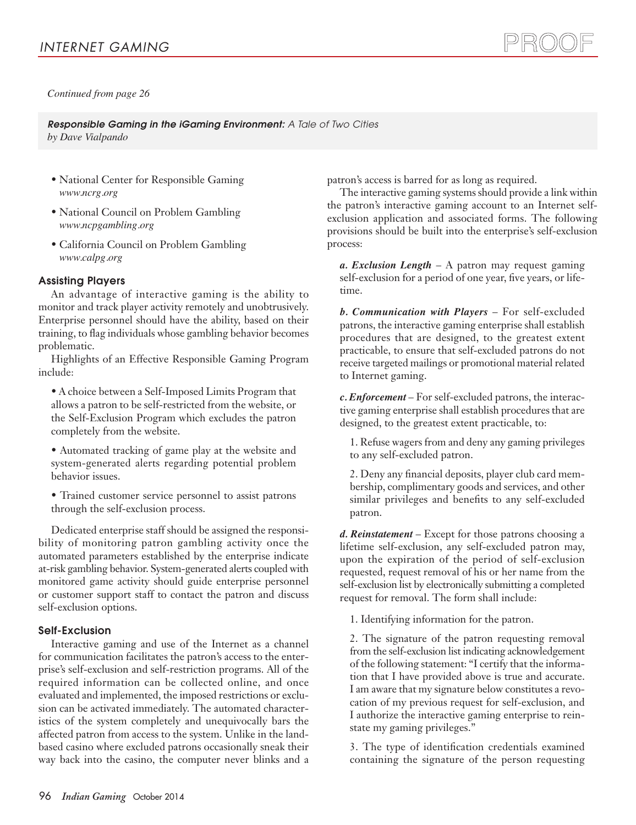*Continued from page 26*

*Responsible Gaming in the iGaming Environment: A Tale of Two Cities by Dave Vialpando*

- National Center for Responsible Gaming *www.ncrg.org*
- National Council on Problem Gambling *www.ncpgambling.org*
- California Council on Problem Gambling *www.calpg.org*

# **Assisting Players**

An advantage of interactive gaming is the ability to monitor and track player activity remotely and unobtrusively. Enterprise personnel should have the ability, based on their training, to flag individuals whose gambling behavior becomes problematic.

Highlights of an Effective Responsible Gaming Program include:

• A choice between a Self-Imposed Limits Program that allows a patron to be self-restricted from the website, or the Self-Exclusion Program which excludes the patron completely from the website.

• Automated tracking of game play at the website and system-generated alerts regarding potential problem behavior issues.

• Trained customer service personnel to assist patrons through the self-exclusion process.

Dedicated enterprise staff should be assigned the responsibility of monitoring patron gambling activity once the automated parameters established by the enterprise indicate at-risk gambling behavior. System-generated alerts coupled with monitored game activity should guide enterprise personnel or customer support staff to contact the patron and discuss self-exclusion options.

#### **Self-Exclusion**

Interactive gaming and use of the Internet as a channel for communication facilitates the patron's access to the enterprise's self-exclusion and self-restriction programs. All of the required information can be collected online, and once evaluated and implemented, the imposed restrictions or exclusion can be activated immediately. The automated characteristics of the system completely and unequivocally bars the affected patron from access to the system. Unlike in the landbased casino where excluded patrons occasionally sneak their way back into the casino, the computer never blinks and a

patron's access is barred for as long as required.

The interactive gaming systems should provide a link within the patron's interactive gaming account to an Internet selfexclusion application and associated forms. The following provisions should be built into the enterprise's self-exclusion process:

PROOF

*a. Exclusion Length* – A patron may request gaming self-exclusion for a period of one year, five years, or lifetime.

*b. Communication with Players* – For self-excluded patrons, the interactive gaming enterprise shall establish procedures that are designed, to the greatest extent practicable, to ensure that self-excluded patrons do not receive targeted mailings or promotional material related to Internet gaming.

*c. Enforcement* – For self-excluded patrons, the interactive gaming enterprise shall establish procedures that are designed, to the greatest extent practicable, to:

1. Refuse wagers from and deny any gaming privileges to any self-excluded patron.

2. Deny any financial deposits, player club card membership, complimentary goods and services, and other similar privileges and benefits to any self-excluded patron.

*d. Reinstatement* – Except for those patrons choosing a lifetime self-exclusion, any self-excluded patron may, upon the expiration of the period of self-exclusion requested, request removal of his or her name from the self-exclusion list by electronically submitting a completed request for removal. The form shall include:

1. Identifying information for the patron.

2. The signature of the patron requesting removal from the self-exclusion list indicating acknowledgement of the following statement: "I certify that the information that I have provided above is true and accurate. I am aware that my signature below constitutes a revocation of my previous request for self-exclusion, and I authorize the interactive gaming enterprise to reinstate my gaming privileges."

3. The type of identification credentials examined containing the signature of the person requesting